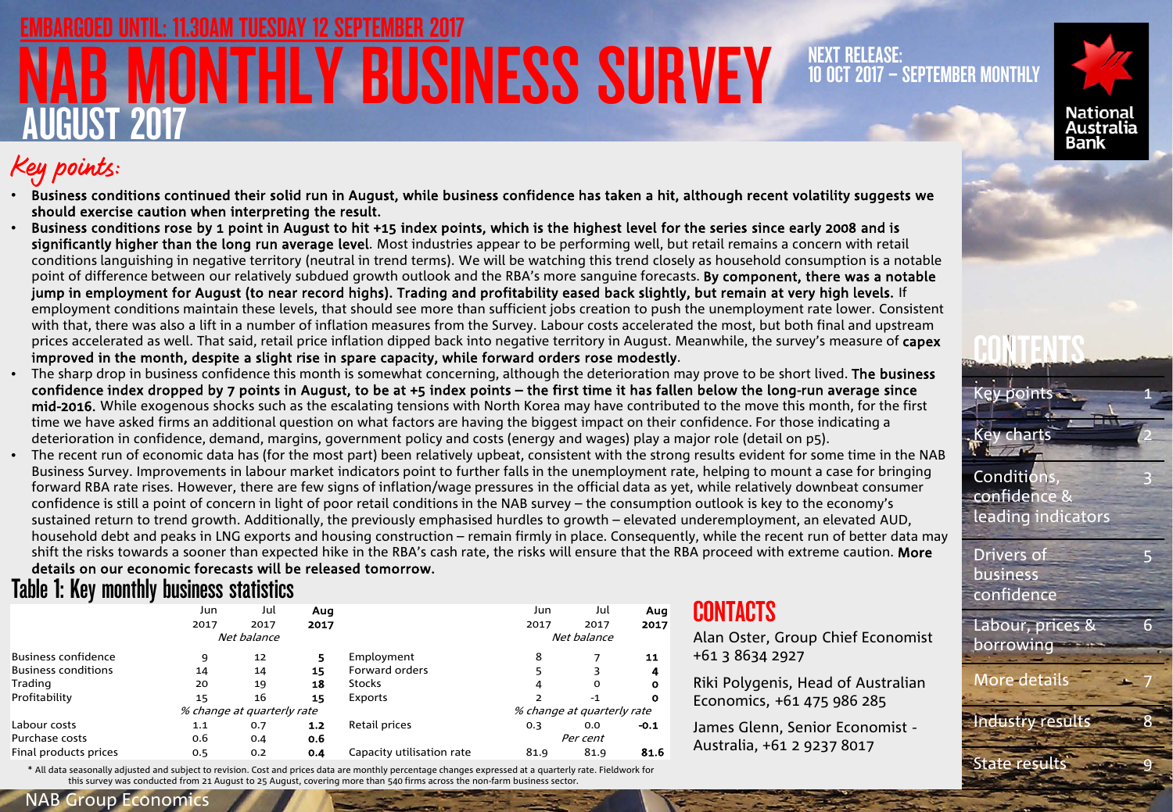# **MONTHLY BUSINESS SURVEY** AUGUST 2017 AM TUESDAY 12 SEPTEMBER 2017

### NEXT RELEASE: 10 OCT 2017 – SEPTEMBER MONTHLY



## Key points:

- Business conditions continued their solid run in August, while business confidence has taken a hit, although recent volatility suggests we should exercise caution when interpreting the result.
- Business conditions rose by 1 point in August to hit +15 index points, which is the highest level for the series since early 2008 and is significantly higher than the long run average level. Most industries appear to be performing well, but retail remains a concern with retail conditions languishing in negative territory (neutral in trend terms). We will be watching this trend closely as household consumption is a notable point of difference between our relatively subdued growth outlook and the RBA's more sanguine forecasts. By component, there was a notable jump in employment for August (to near record highs). Trading and profitability eased back slightly, but remain at very high levels. If employment conditions maintain these levels, that should see more than sufficient jobs creation to push the unemployment rate lower. Consistent with that, there was also a lift in a number of inflation measures from the Survey. Labour costs accelerated the most, but both final and upstream prices accelerated as well. That said, retail price inflation dipped back into negative territory in August. Meanwhile, the survey's measure of capex improved in the month, despite a slight rise in spare capacity, while forward orders rose modestly.
- The sharp drop in business confidence this month is somewhat concerning, although the deterioration may prove to be short lived. The business confidence index dropped by 7 points in August, to be at +5 index points – the first time it has fallen below the long-run average since mid-2016. While exogenous shocks such as the escalating tensions with North Korea may have contributed to the move this month, for the first time we have asked firms an additional question on what factors are having the biggest impact on their confidence. For those indicating a deterioration in confidence, demand, margins, government policy and costs (energy and wages) play a major role (detail on p5).
- The recent run of economic data has (for the most part) been relatively upbeat, consistent with the strong results evident for some time in the NAB Business Survey. Improvements in labour market indicators point to further falls in the unemployment rate, helping to mount a case for bringing forward RBA rate rises. However, there are few signs of inflation/wage pressures in the official data as yet, while relatively downbeat consumer confidence is still a point of concern in light of poor retail conditions in the NAB survey – the consumption outlook is key to the economy's sustained return to trend growth. Additionally, the previously emphasised hurdles to growth – elevated underemployment, an elevated AUD, household debt and peaks in LNG exports and housing construction – remain firmly in place. Consequently, while the recent run of better data may shift the risks towards a sooner than expected hike in the RBA's cash rate, the risks will ensure that the RBA proceed with extreme caution. More

### Table 1: Key monthly business statistics details on our economic forecasts will be released tomorrow.

|                            | Jun  | Jul                        | Aug   |                           | Jun                        | Jul  | Aug          |  |
|----------------------------|------|----------------------------|-------|---------------------------|----------------------------|------|--------------|--|
|                            | 2017 | 2017                       | 2017  |                           | 2017                       | 2017 | 2017         |  |
|                            |      | Net balance                |       |                           | Net balance                |      |              |  |
| <b>Business confidence</b> | 9    | 12                         | 5     | Employment                | 8                          |      | 11           |  |
| <b>Business conditions</b> | 14   | 14                         | 15    | Forward orders            |                            |      | 4            |  |
| Trading                    | 20   | 19                         | 18    | <b>Stocks</b>             | 4                          | 0    | $\mathbf o$  |  |
| Profitability              | 15   | 16                         | 15    | Exports                   |                            | $-1$ | $\mathbf{o}$ |  |
|                            |      | % change at quarterly rate |       |                           | % change at quarterly rate |      |              |  |
| Labour costs               | 1.1  | 0.7                        | $1.2$ | Retail prices             | 0.3                        | 0.0  | $-0.1$       |  |
| Purchase costs             | 0.6  | 0.4                        | 0.6   |                           | Per cent                   |      |              |  |
| Final products prices      | 0.5  | 0.2                        | 0.4   | Capacity utilisation rate | 81.9                       | 81.9 | 81.6         |  |

\* All data seasonally adjusted and subject to revision. Cost and prices data are monthly percentage changes expressed at a quarterly rate. Fieldwork for this survey was conducted from 21 August to 25 August, covering more than 540 firms across the non-farm business sector

### **CONTACTS**

Alan Oster, Group Chief Economist +61 3 8634 2927

Riki Polygenis, Head of Australian Economics, +61 475 986 285

James Glenn, Senior Economist - Australia, +61 2 9237 8017



**CONTENTS** 

confidence & leading indicators

Drivers of **business** confidence

Labour, prices & borrowing ++

More details 7

Industry results 8

1

3

5

6

State results

### NAB Group Economics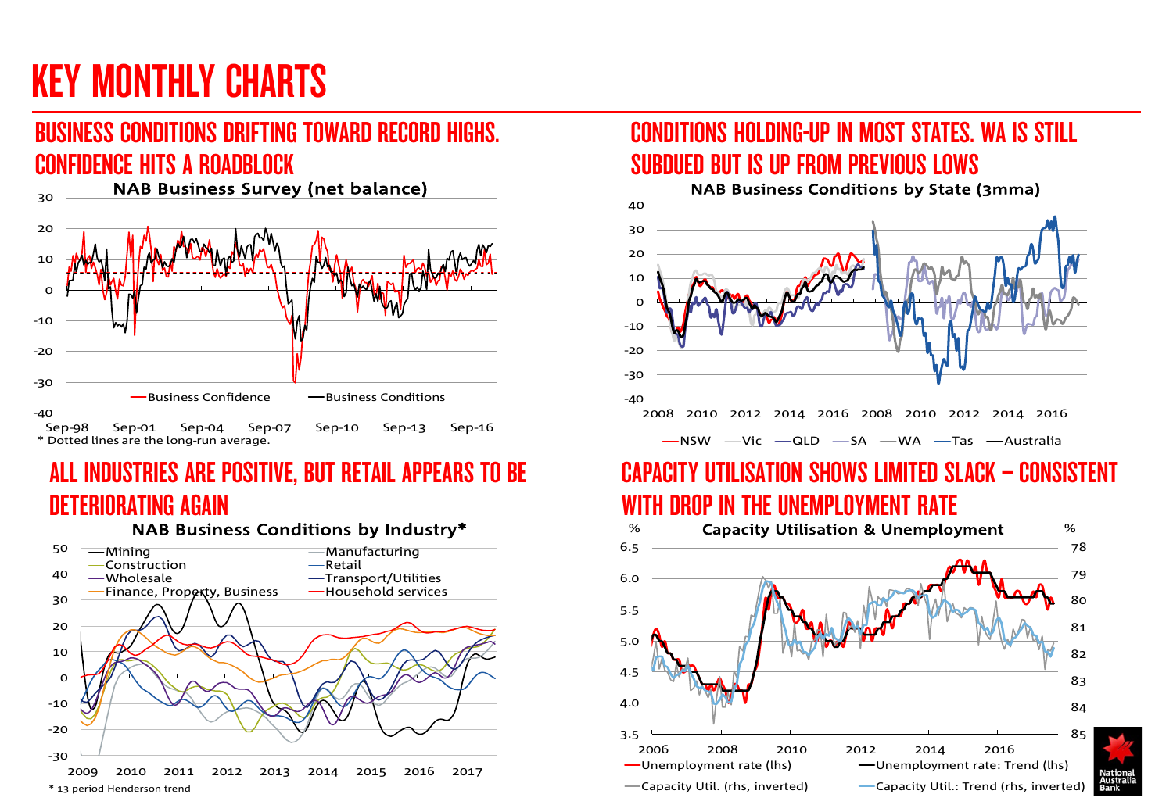# KEY MONTHLY CHARTS

### BUSINESS CONDITIONS DRIFTING TOWARD RECORD HIGHS. CONFIDENCE HITS A ROADBLOCK



## ALL INDUSTRIES ARE POSITIVE, BUT RETAIL APPEARS TO BE DETERIORATING AGAIN

NAB Business Conditions by Industry\*



### CONDITIONS HOLDING-UP IN MOST STATES. WA IS STILL SUBDUED BUT IS UP FROM PREVIOUS LOWS



## CAPACITY UTILISATION SHOWS LIMITED SLACK – CONSISTENT WITH DROP IN THE UNEMPLOYMENT RATE

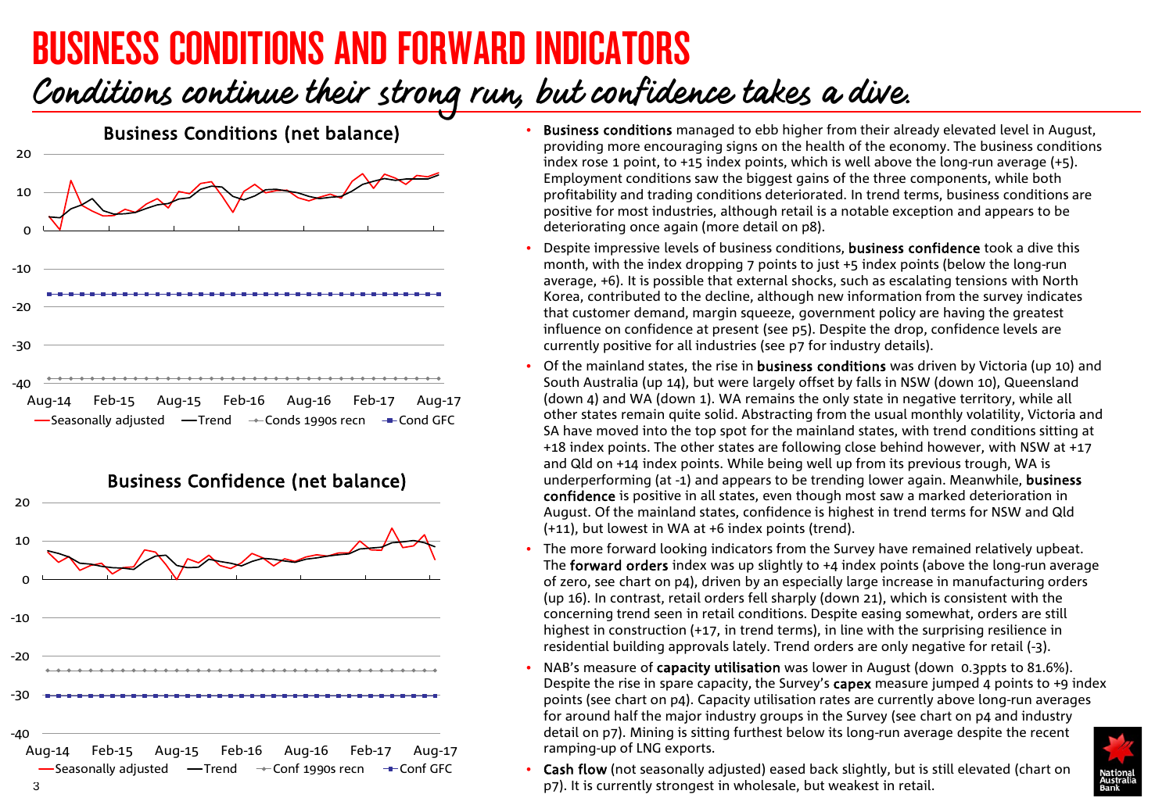# BUSINESS CONDITIONS AND FORWARD INDICATORS

## Conditions continue their strong run, but confidence takes a dive.





- Business conditions managed to ebb higher from their already elevated level in August, providing more encouraging signs on the health of the economy. The business conditions index rose 1 point, to  $+15$  index points, which is well above the long-run average  $(+5)$ . Employment conditions saw the biggest gains of the three components, while both profitability and trading conditions deteriorated. In trend terms, business conditions are positive for most industries, although retail is a notable exception and appears to be deteriorating once again (more detail on p8).
- Despite impressive levels of business conditions, business confidence took a dive this month, with the index dropping 7 points to just +5 index points (below the long-run average, +6). It is possible that external shocks, such as escalating tensions with North Korea, contributed to the decline, although new information from the survey indicates that customer demand, margin squeeze, government policy are having the greatest influence on confidence at present (see p5). Despite the drop, confidence levels are currently positive for all industries (see p7 for industry details).
- Of the mainland states, the rise in **business conditions** was driven by Victoria (up 10) and South Australia (up 14), but were largely offset by falls in NSW (down 10), Queensland (down 4) and WA (down 1). WA remains the only state in negative territory, while all other states remain quite solid. Abstracting from the usual monthly volatility, Victoria and SA have moved into the top spot for the mainland states, with trend conditions sitting at +18 index points. The other states are following close behind however, with NSW at +17 and Qld on +14 index points. While being well up from its previous trough, WA is underperforming (at -1) and appears to be trending lower again. Meanwhile, business confidence is positive in all states, even though most saw a marked deterioration in August. Of the mainland states, confidence is highest in trend terms for NSW and Qld (+11), but lowest in WA at +6 index points (trend).
- The more forward looking indicators from the Survey have remained relatively upbeat. The **forward orders** index was up slightly to  $+4$  index points (above the long-run average of zero, see chart on p4), driven by an especially large increase in manufacturing orders (up 16). In contrast, retail orders fell sharply (down 21), which is consistent with the concerning trend seen in retail conditions. Despite easing somewhat, orders are still highest in construction (+17, in trend terms), in line with the surprising resilience in residential building approvals lately. Trend orders are only negative for retail (-3).
- NAB's measure of capacity utilisation was lower in August (down 0.3ppts to 81.6%). Despite the rise in spare capacity, the Survey's capex measure jumped 4 points to  $+9$  index points (see chart on p4). Capacity utilisation rates are currently above long-run averages for around half the major industry groups in the Survey (see chart on p4 and industry detail on p7). Mining is sitting furthest below its long-run average despite the recent ramping-up of LNG exports.



• Cash flow (not seasonally adjusted) eased back slightly, but is still elevated (chart on 3 p7). It is currently strongest in wholesale, but weakest in retail.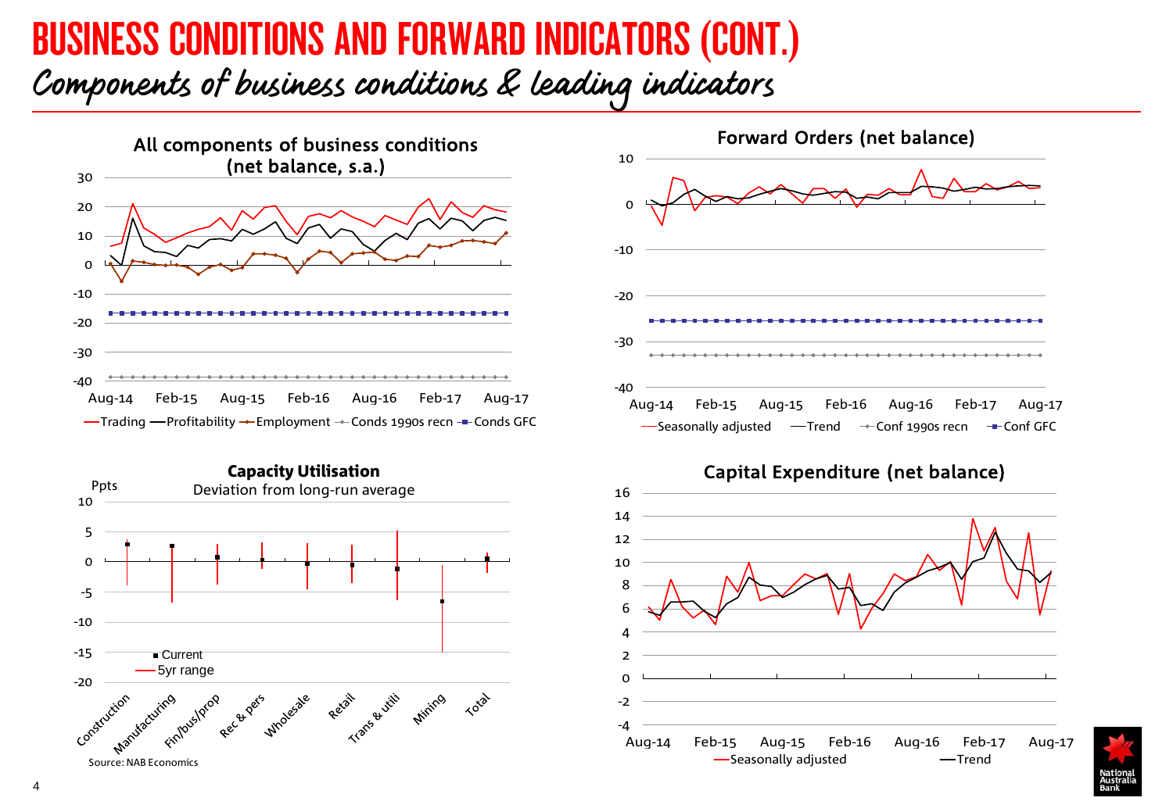## BUSINESS CONDITIONS AND FORWARD INDICATORS (CONT.) Components of business conditions & leading indicators







Capital Expenditure (net balance)



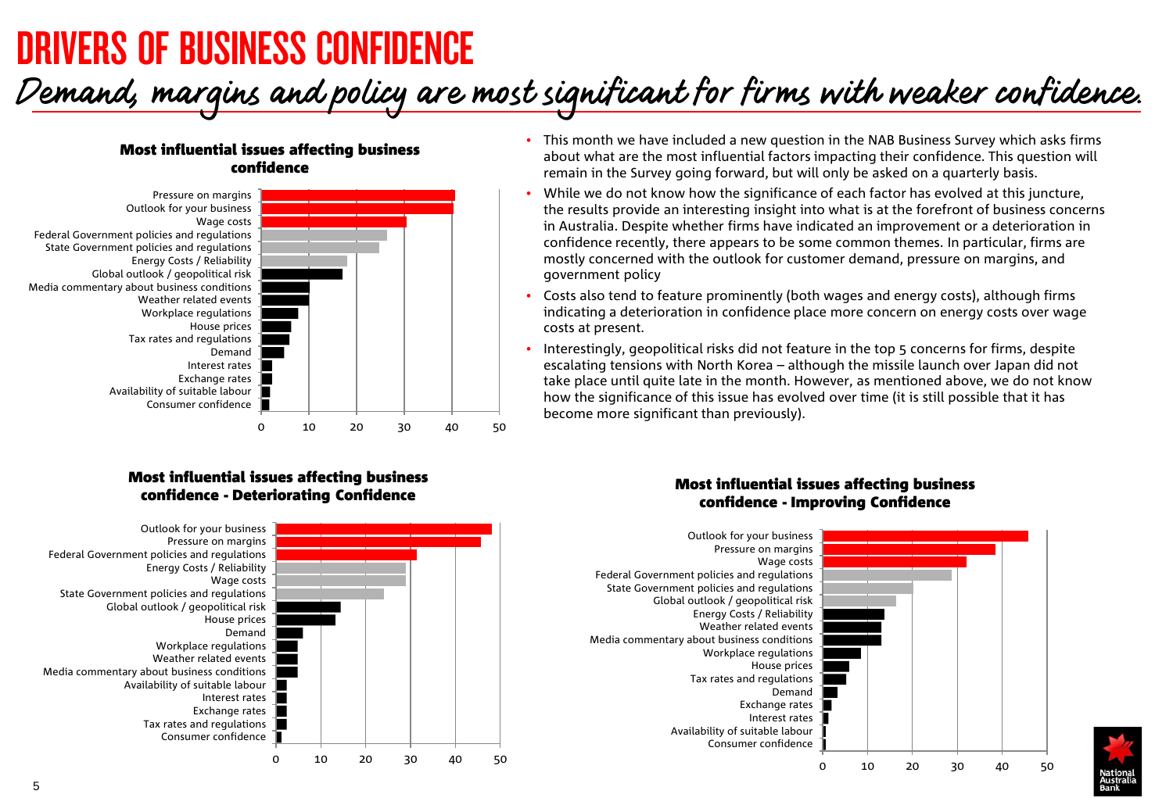# DRIVERS OF BUSINESS CONFIDENCE

# Demand, margins and policy are most significant for firms with weaker confidence.

### Most influential issues affecting business confidence



### Most influential issues affecting business confidence - Deteriorating Confidence



- This month we have included a new question in the NAB Business Survey which asks firms about what are the most influential factors impacting their confidence. This question will remain in the Survey going forward, but will only be asked on a quarterly basis.
- While we do not know how the significance of each factor has evolved at this juncture, the results provide an interesting insight into what is at the forefront of business concerns in Australia. Despite whether firms have indicated an improvement or a deterioration in confidence recently, there appears to be some common themes. In particular, firms are mostly concerned with the outlook for customer demand, pressure on margins, and government policy
- Costs also tend to feature prominently (both wages and energy costs), although firms indicating a deterioration in confidence place more concern on energy costs over wage costs at present.
- Interestingly, geopolitical risks did not feature in the top 5 concerns for firms, despite escalating tensions with North Korea – although the missile launch over Japan did not take place until quite late in the month. However, as mentioned above, we do not know how the significance of this issue has evolved over time (it is still possible that it has become more significant than previously).

### Most influential issues affecting business confidence - Improving Confidence

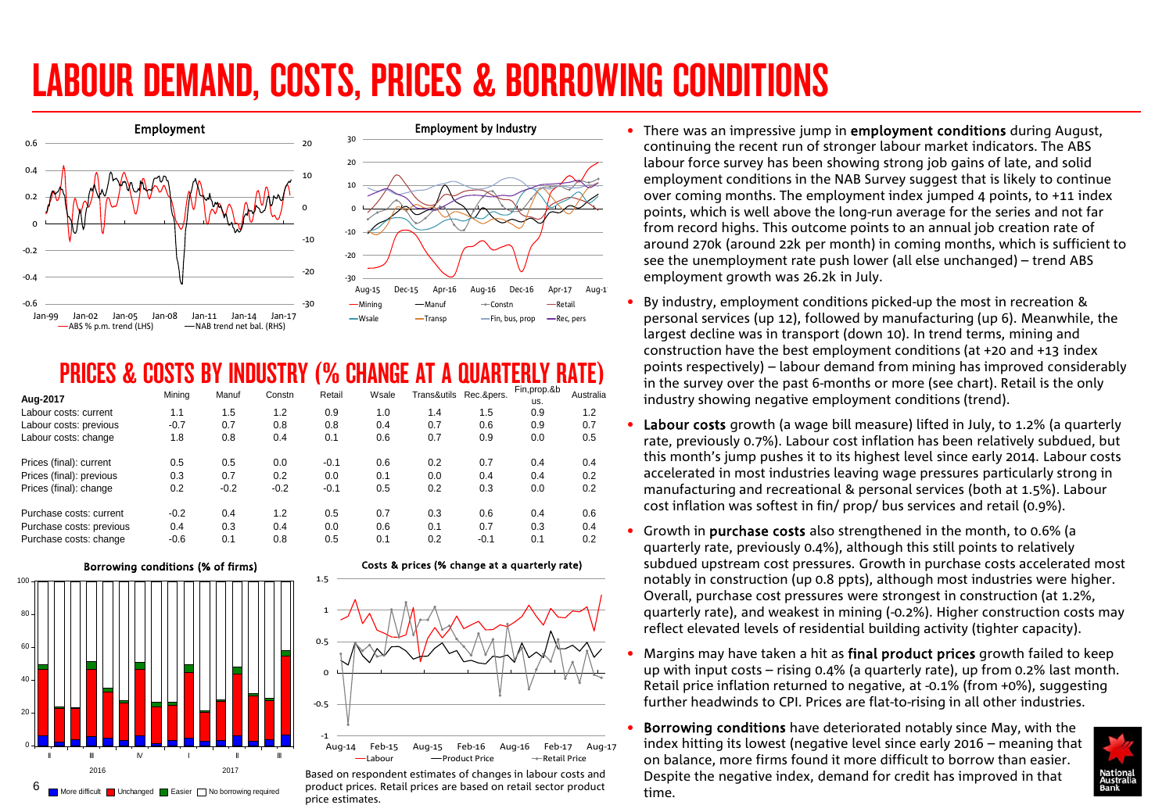# LABOUR DEMAND, COSTS, PRICES & BORROWING CONDITIONS





### PRICES & COSTS BY INDUSTRY (% CHANGE AT A QUARTERLY RATE)

| Aug-2017                 | Mining | Manuf  | Constn | Retail | Wsale | Trans&utils | Rec.&pers. | Fin, prop.&b<br>us. | Australia |
|--------------------------|--------|--------|--------|--------|-------|-------------|------------|---------------------|-----------|
| Labour costs: current    | 1.1    | 1.5    | 1.2    | 0.9    | 1.0   | 1.4         | 1.5        | 0.9                 | 1.2       |
| Labour costs: previous   | $-0.7$ | 0.7    | 0.8    | 0.8    | 0.4   | 0.7         | 0.6        | 0.9                 | 0.7       |
| Labour costs: change     | 1.8    | 0.8    | 0.4    | 0.1    | 0.6   | 0.7         | 0.9        | 0.0                 | 0.5       |
| Prices (final): current  | 0.5    | 0.5    | 0.0    | $-0.1$ | 0.6   | 0.2         | 0.7        | 0.4                 | 0.4       |
| Prices (final): previous | 0.3    | 0.7    | 0.2    | 0.0    | 0.1   | 0.0         | 0.4        | 0.4                 | 0.2       |
| Prices (final): change   | 0.2    | $-0.2$ | $-0.2$ | $-0.1$ | 0.5   | 0.2         | 0.3        | 0.0                 | 0.2       |
| Purchase costs: current  | $-0.2$ | 0.4    | 1.2    | 0.5    | 0.7   | 0.3         | 0.6        | 0.4                 | 0.6       |
| Purchase costs: previous | 0.4    | 0.3    | 0.4    | 0.0    | 0.6   | 0.1         | 0.7        | 0.3                 | 0.4       |
| Purchase costs: change   | $-0.6$ | 0.1    | 0.8    | 0.5    | 0.1   | 0.2         | $-0.1$     | 0.1                 | 0.2       |



#### Costs & prices (% change at a quarterly rate)



 $6$  More difficult unchanged saier  $\Box$  No borrowing required product prices. Retail prices are based on retail sector product time. Based on respondent estimates of changes in labour costs and price estimates.

- There was an impressive jump in employment conditions during August, continuing the recent run of stronger labour market indicators. The ABS labour force survey has been showing strong job gains of late, and solid employment conditions in the NAB Survey suggest that is likely to continue over coming months. The employment index jumped 4 points, to +11 index points, which is well above the long-run average for the series and not far from record highs. This outcome points to an annual job creation rate of around 270k (around 22k per month) in coming months, which is sufficient to see the unemployment rate push lower (all else unchanged) – trend ABS employment growth was 26.2k in July.
- By industry, employment conditions picked-up the most in recreation & personal services (up 12), followed by manufacturing (up 6). Meanwhile, the largest decline was in transport (down 10). In trend terms, mining and construction have the best employment conditions (at +20 and +13 index points respectively) – labour demand from mining has improved considerably in the survey over the past 6-months or more (see chart). Retail is the only industry showing negative employment conditions (trend).
- Labour costs growth (a wage bill measure) lifted in July, to 1.2% (a quarterly rate, previously 0.7%). Labour cost inflation has been relatively subdued, but this month's jump pushes it to its highest level since early 2014. Labour costs accelerated in most industries leaving wage pressures particularly strong in manufacturing and recreational & personal services (both at 1.5%). Labour cost inflation was softest in fin/ prop/ bus services and retail (0.9%).
- Growth in purchase costs also strengthened in the month, to 0.6% (a quarterly rate, previously 0.4%), although this still points to relatively subdued upstream cost pressures. Growth in purchase costs accelerated most notably in construction (up 0.8 ppts), although most industries were higher. Overall, purchase cost pressures were strongest in construction (at 1.2%, quarterly rate), and weakest in mining (-0.2%). Higher construction costs may reflect elevated levels of residential building activity (tighter capacity).
- Margins may have taken a hit as final product prices growth failed to keep up with input costs – rising 0.4% (a quarterly rate), up from 0.2% last month. Retail price inflation returned to negative, at -0.1% (from +0%), suggesting further headwinds to CPI. Prices are flat-to-rising in all other industries.
- Borrowing conditions have deteriorated notably since May, with the index hitting its lowest (negative level since early 2016 – meaning that on balance, more firms found it more difficult to borrow than easier. Despite the negative index, demand for credit has improved in that

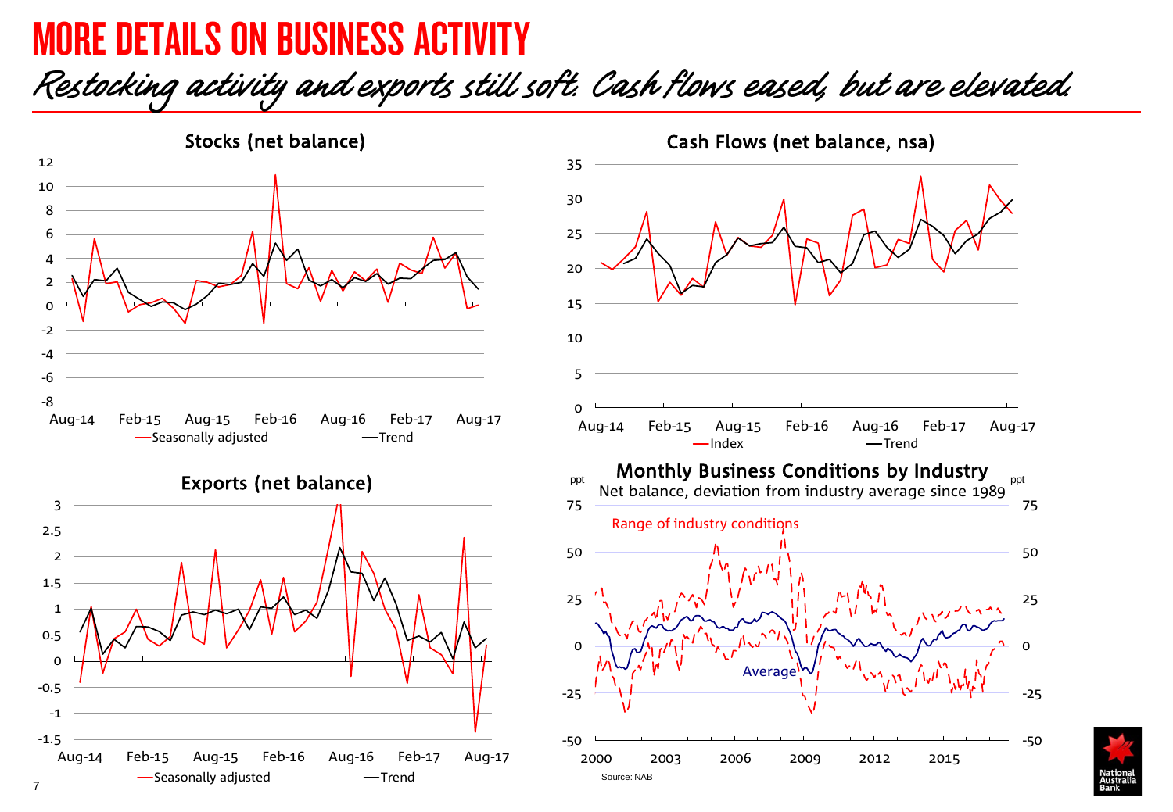## MORE DETAILS ON BUSINESS ACTIVITY

## Restocking activity and exports still soft. Cash flows eased, but are elevated.



Exports (net balance)





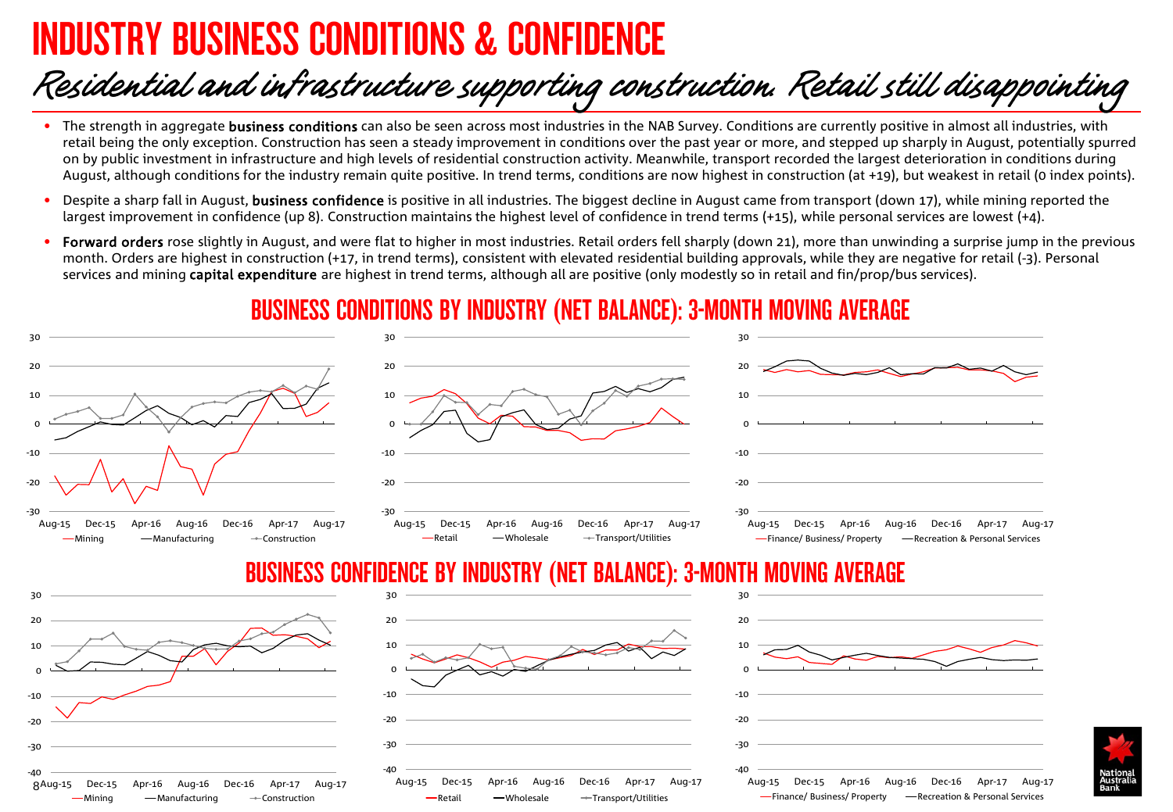# DUSTRY BUSINESS CONDITIONS & CONFIDENCE

 $-Minin$   $\alpha$   $\rightarrow$  Manufacturing  $\rightarrow$  Construction

# Residential and infrastructure supporting construction. Retail still disappointing

- The strength in aggregate **business conditions** can also be seen across most industries in the NAB Survey. Conditions are currently positive in almost all industries, with retail being the only exception. Construction has seen a steady improvement in conditions over the past year or more, and stepped up sharply in August, potentially spurred on by public investment in infrastructure and high levels of residential construction activity. Meanwhile, transport recorded the largest deterioration in conditions during August, although conditions for the industry remain quite positive. In trend terms, conditions are now highest in construction (at +19), but weakest in retail (0 index points).
- Despite a sharp fall in August, business confidence is positive in all industries. The biggest decline in August came from transport (down 17), while mining reported the largest improvement in confidence (up 8). Construction maintains the highest level of confidence in trend terms (+15), while personal services are lowest (+4).
- Forward orders rose slightly in August, and were flat to higher in most industries. Retail orders fell sharply (down 21), more than unwinding a surprise jump in the previous month. Orders are highest in construction (+17, in trend terms), consistent with elevated residential building approvals, while they are negative for retail (-3). Personal services and mining capital expenditure are highest in trend terms, although all are positive (only modestly so in retail and fin/prop/bus services).

### BUSINESS CONDITIONS BY INDUSTRY (NET BALANCE): 3-MONTH MOVING AVERAGE



Retail Wholesale Transport/Utilities

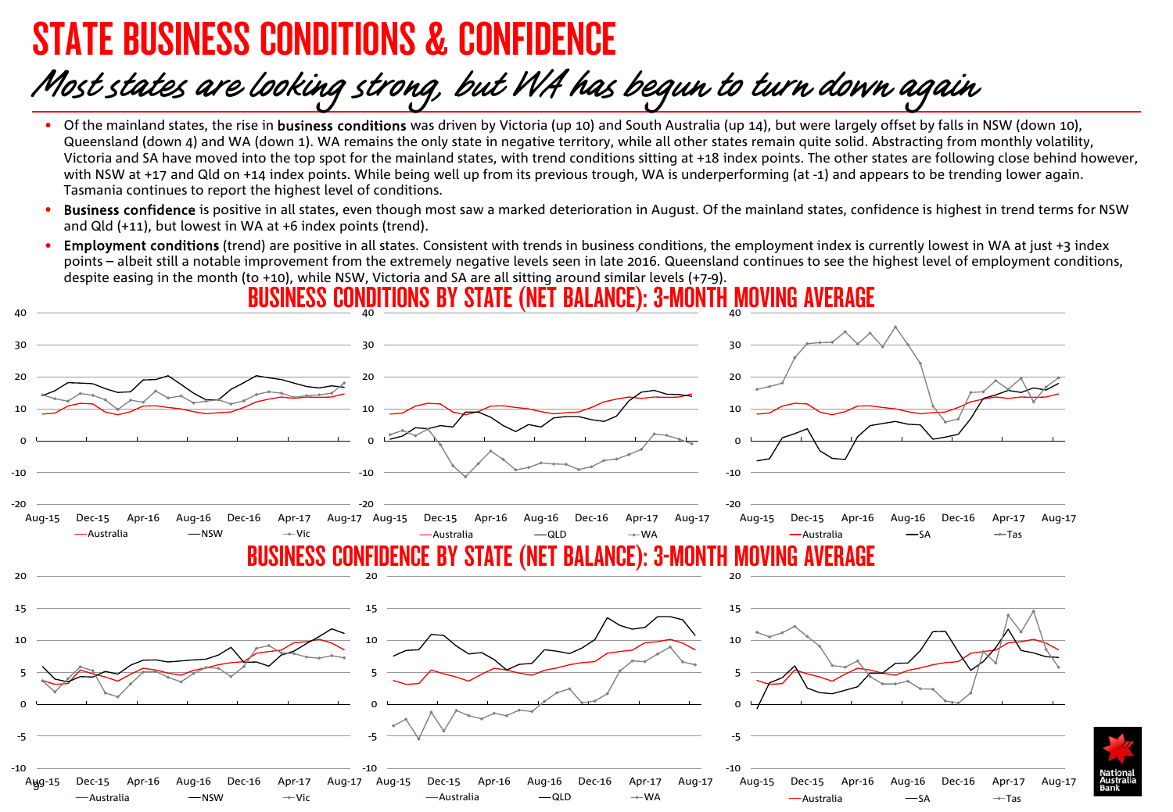# STATE BUSINESS CONDITIONS & CONFIDENCE

# Most states are looking strong, but WA has begun to turn down again

- Of the mainland states, the rise in business conditions was driven by Victoria (up 10) and South Australia (up 14), but were largely offset by falls in NSW (down 10), Queensland (down 4) and WA (down 1). WA remains the only state in negative territory, while all other states remain quite solid. Abstracting from monthly volatility, Victoria and SA have moved into the top spot for the mainland states, with trend conditions sitting at +18 index points. The other states are following close behind however, with NSW at +17 and Qld on +14 index points. While being well up from its previous trough, WA is underperforming (at -1) and appears to be trending lower again. Tasmania continues to report the highest level of conditions.
- **Business confidence** is positive in all states, even though most saw a marked deterioration in August. Of the mainland states, confidence is highest in trend terms for NSW and Qld (+11), but lowest in WA at +6 index points (trend).
- Employment conditions (trend) are positive in all states. Consistent with trends in business conditions, the employment index is currently lowest in WA at just +3 index points – albeit still a notable improvement from the extremely negative levels seen in late 2016. Queensland continues to see the highest level of employment conditions, despite easing in the month (to +10), while NSW, Victoria and SA are all sitting around similar levels (+7-9).

BUSINESS CONDITIONS BY STATE (NET BALANCE): 3-MONTH MOVING 40 40